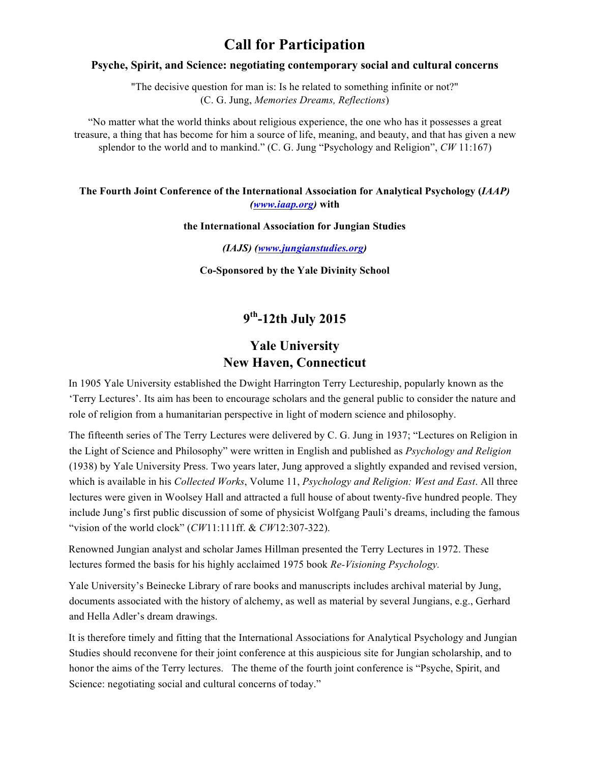# **Call for Participation**

### **Psyche, Spirit, and Science: negotiating contemporary social and cultural concerns**

"The decisive question for man is: Is he related to something infinite or not?" (C. G. Jung, *Memories Dreams, Reflections*)

"No matter what the world thinks about religious experience, the one who has it possesses a great treasure, a thing that has become for him a source of life, meaning, and beauty, and that has given a new splendor to the world and to mankind." (C. G. Jung "Psychology and Religion", *CW* 11:167)

### **The Fourth Joint Conference of the International Association for Analytical Psychology (***IAAP) (www.iaap.org)* **with**

#### **the International Association for Jungian Studies**

*(IAJS) (www.jungianstudies.org)* 

**Co-Sponsored by the Yale Divinity School** 

## **9th-12th July 2015**

### **Yale University New Haven, Connecticut**

In 1905 Yale University established the Dwight Harrington Terry Lectureship, popularly known as the 'Terry Lectures'. Its aim has been to encourage scholars and the general public to consider the nature and role of religion from a humanitarian perspective in light of modern science and philosophy.

The fifteenth series of The Terry Lectures were delivered by C. G. Jung in 1937; "Lectures on Religion in the Light of Science and Philosophy" were written in English and published as *Psychology and Religion* (1938) by Yale University Press. Two years later, Jung approved a slightly expanded and revised version, which is available in his *Collected Works*, Volume 11, *Psychology and Religion: West and East*. All three lectures were given in Woolsey Hall and attracted a full house of about twenty-five hundred people. They include Jung's first public discussion of some of physicist Wolfgang Pauli's dreams, including the famous "vision of the world clock" (*CW*11:111ff. & *CW*12:307-322).

Renowned Jungian analyst and scholar James Hillman presented the Terry Lectures in 1972. These lectures formed the basis for his highly acclaimed 1975 book *Re-Visioning Psychology.* 

Yale University's Beinecke Library of rare books and manuscripts includes archival material by Jung, documents associated with the history of alchemy, as well as material by several Jungians, e.g., Gerhard and Hella Adler's dream drawings.

It is therefore timely and fitting that the International Associations for Analytical Psychology and Jungian Studies should reconvene for their joint conference at this auspicious site for Jungian scholarship, and to honor the aims of the Terry lectures. The theme of the fourth joint conference is "Psyche, Spirit, and Science: negotiating social and cultural concerns of today."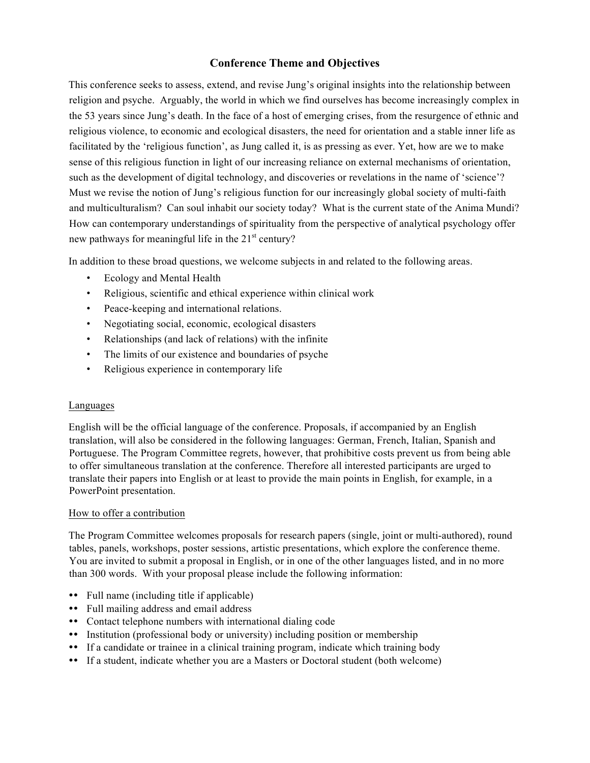### **Conference Theme and Objectives**

This conference seeks to assess, extend, and revise Jung's original insights into the relationship between religion and psyche. Arguably, the world in which we find ourselves has become increasingly complex in the 53 years since Jung's death. In the face of a host of emerging crises, from the resurgence of ethnic and religious violence, to economic and ecological disasters, the need for orientation and a stable inner life as facilitated by the 'religious function', as Jung called it, is as pressing as ever. Yet, how are we to make sense of this religious function in light of our increasing reliance on external mechanisms of orientation, such as the development of digital technology, and discoveries or revelations in the name of 'science'? Must we revise the notion of Jung's religious function for our increasingly global society of multi-faith and multiculturalism? Can soul inhabit our society today? What is the current state of the Anima Mundi? How can contemporary understandings of spirituality from the perspective of analytical psychology offer new pathways for meaningful life in the  $21<sup>st</sup>$  century?

In addition to these broad questions, we welcome subjects in and related to the following areas.

- Ecology and Mental Health
- Religious, scientific and ethical experience within clinical work
- Peace-keeping and international relations.
- Negotiating social, economic, ecological disasters
- Relationships (and lack of relations) with the infinite
- The limits of our existence and boundaries of psyche
- Religious experience in contemporary life

### Languages

English will be the official language of the conference. Proposals, if accompanied by an English translation, will also be considered in the following languages: German, French, Italian, Spanish and Portuguese. The Program Committee regrets, however, that prohibitive costs prevent us from being able to offer simultaneous translation at the conference. Therefore all interested participants are urged to translate their papers into English or at least to provide the main points in English, for example, in a PowerPoint presentation.

### How to offer a contribution

The Program Committee welcomes proposals for research papers (single, joint or multi-authored), round tables, panels, workshops, poster sessions, artistic presentations, which explore the conference theme. You are invited to submit a proposal in English, or in one of the other languages listed, and in no more than 300 words. With your proposal please include the following information:

- Full name (including title if applicable)
- !! Full mailing address and email address
- !! Contact telephone numbers with international dialing code
- !! Institution (professional body or university) including position or membership
- !! If a candidate or trainee in a clinical training program, indicate which training body
- !! If a student, indicate whether you are a Masters or Doctoral student (both welcome)